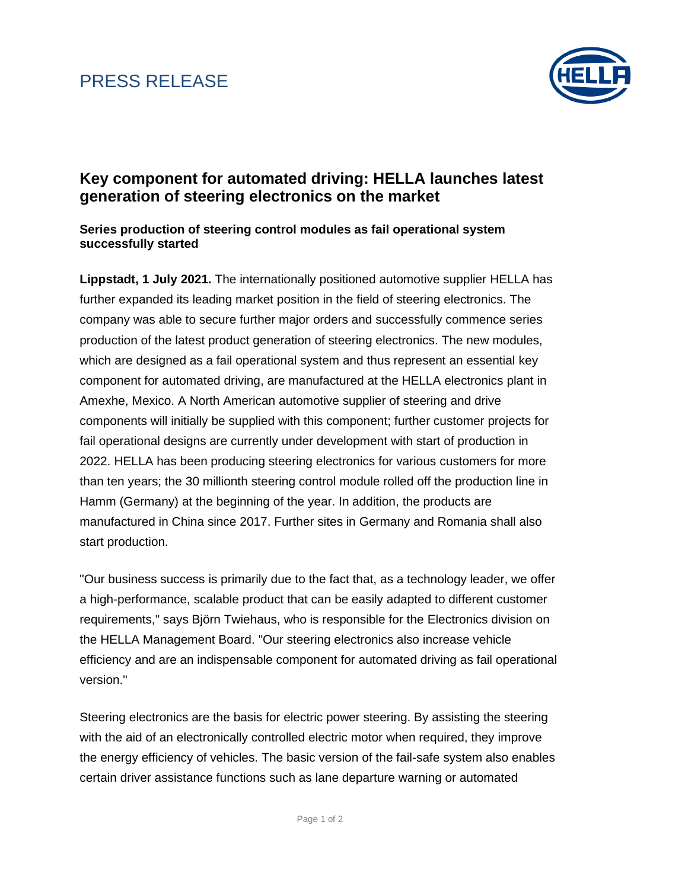## PRESS RELEASE



### **Key component for automated driving: HELLA launches latest generation of steering electronics on the market**

### **Series production of steering control modules as fail operational system successfully started**

**Lippstadt, 1 July 2021.** The internationally positioned automotive supplier HELLA has further expanded its leading market position in the field of steering electronics. The company was able to secure further major orders and successfully commence series production of the latest product generation of steering electronics. The new modules, which are designed as a fail operational system and thus represent an essential key component for automated driving, are manufactured at the HELLA electronics plant in Amexhe, Mexico. A North American automotive supplier of steering and drive components will initially be supplied with this component; further customer projects for fail operational designs are currently under development with start of production in 2022. HELLA has been producing steering electronics for various customers for more than ten years; the 30 millionth steering control module rolled off the production line in Hamm (Germany) at the beginning of the year. In addition, the products are manufactured in China since 2017. Further sites in Germany and Romania shall also start production.

"Our business success is primarily due to the fact that, as a technology leader, we offer a high-performance, scalable product that can be easily adapted to different customer requirements," says Björn Twiehaus, who is responsible for the Electronics division on the HELLA Management Board. "Our steering electronics also increase vehicle efficiency and are an indispensable component for automated driving as fail operational version."

Steering electronics are the basis for electric power steering. By assisting the steering with the aid of an electronically controlled electric motor when required, they improve the energy efficiency of vehicles. The basic version of the fail-safe system also enables certain driver assistance functions such as lane departure warning or automated